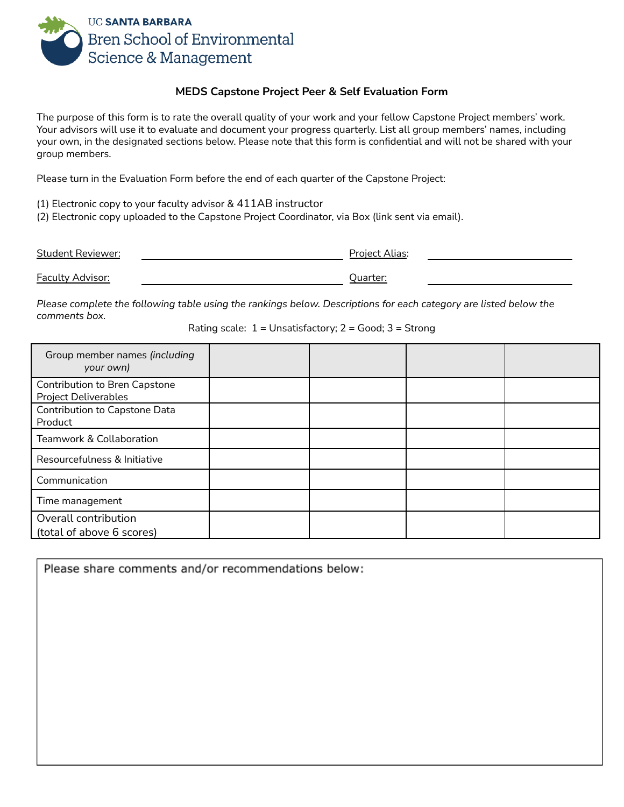

# **MEDS Capstone Project Peer & Self Evaluation Form**

The purpose of this form is to rate the overall quality of your work and your fellow Capstone Project members' work. Your advisors will use it to evaluate and document your progress quarterly. List all group members' names, including your own, in the designated sections below. Please note that this form is confidential and will not be shared with your group members.

Please turn in the Evaluation Form before the end of each quarter of the Capstone Project:

(1) Electronic copy to your faculty advisor & 411AB instructor

(2) Electronic copy uploaded to the Capstone Project Coordinator, via Box (link sent via email).

| Student Reviewer:       | Project Alias: |  |
|-------------------------|----------------|--|
| <b>Faculty Advisor:</b> | :Juarter       |  |

Please complete the following table using the rankings below. Descriptions for each category are listed below the *comments box.*

Rating scale:  $1 =$  Unsatisfactory;  $2 =$  Good;  $3 =$  Strong

| Group member names (including<br>your own)                   |  |  |
|--------------------------------------------------------------|--|--|
| Contribution to Bren Capstone<br><b>Project Deliverables</b> |  |  |
| Contribution to Capstone Data<br>Product                     |  |  |
| Teamwork & Collaboration                                     |  |  |
| Resourcefulness & Initiative                                 |  |  |
| Communication                                                |  |  |
| Time management                                              |  |  |
| Overall contribution<br>(total of above 6 scores)            |  |  |

Please share comments and/or recommendations below: